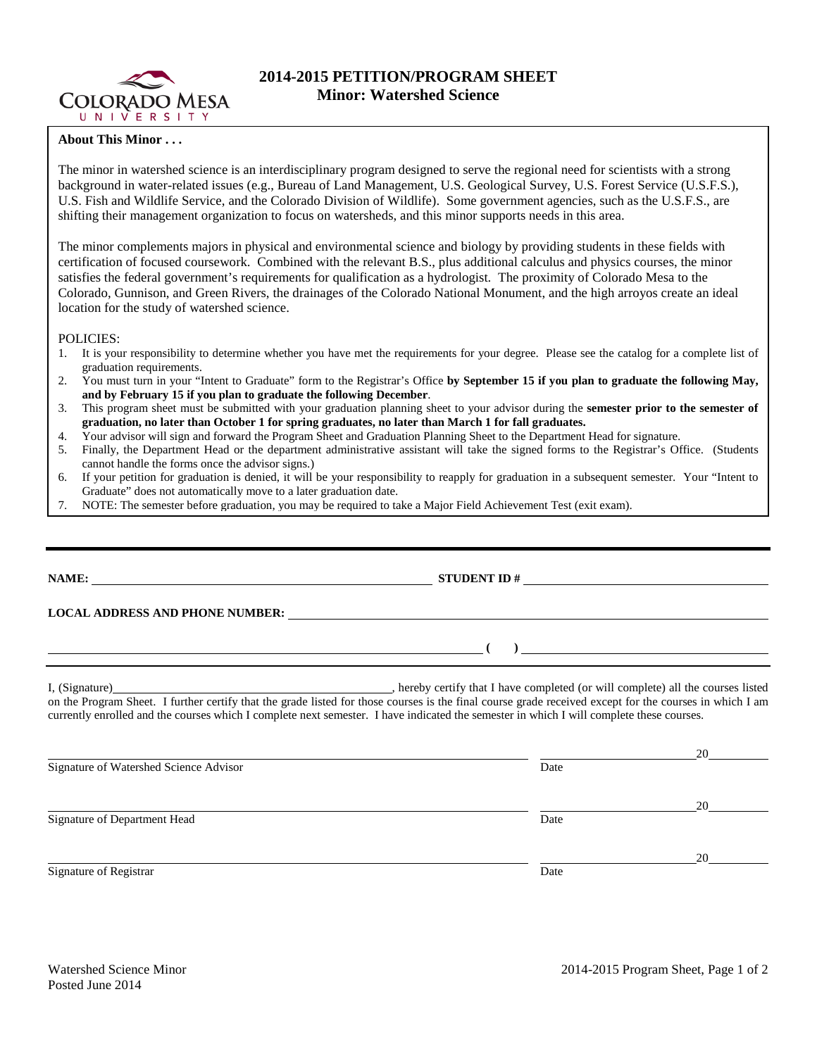

## **2014-2015 PETITION/PROGRAM SHEET Minor: Watershed Science**

## **About This Minor . . .**

The minor in watershed science is an interdisciplinary program designed to serve the regional need for scientists with a strong background in water-related issues (e.g., Bureau of Land Management, U.S. Geological Survey, U.S. Forest Service (U.S.F.S.), U.S. Fish and Wildlife Service, and the Colorado Division of Wildlife). Some government agencies, such as the U.S.F.S., are shifting their management organization to focus on watersheds, and this minor supports needs in this area.

The minor complements majors in physical and environmental science and biology by providing students in these fields with certification of focused coursework. Combined with the relevant B.S., plus additional calculus and physics courses, the minor satisfies the federal government's requirements for qualification as a hydrologist. The proximity of Colorado Mesa to the Colorado, Gunnison, and Green Rivers, the drainages of the Colorado National Monument, and the high arroyos create an ideal location for the study of watershed science.

POLICIES:

- 1. It is your responsibility to determine whether you have met the requirements for your degree. Please see the catalog for a complete list of graduation requirements.
- 2. You must turn in your "Intent to Graduate" form to the Registrar's Office **by September 15 if you plan to graduate the following May, and by February 15 if you plan to graduate the following December**.
- 3. This program sheet must be submitted with your graduation planning sheet to your advisor during the **semester prior to the semester of graduation, no later than October 1 for spring graduates, no later than March 1 for fall graduates.**
- 4. Your advisor will sign and forward the Program Sheet and Graduation Planning Sheet to the Department Head for signature.<br>5. Finally, the Department Head or the department administrative assistant will take the signed fo
- 5. Finally, the Department Head or the department administrative assistant will take the signed forms to the Registrar's Office. (Students cannot handle the forms once the advisor signs.)
- 6. If your petition for graduation is denied, it will be your responsibility to reapply for graduation in a subsequent semester. Your "Intent to Graduate" does not automatically move to a later graduation date.
- 7. NOTE: The semester before graduation, you may be required to take a Major Field Achievement Test (exit exam).

**NAME: STUDENT ID #**

**LOCAL ADDRESS AND PHONE NUMBER:**

I, (Signature) **Source 2008** (Signature) **, hereby certify that I have completed** (or will complete) all the courses listed on the Program Sheet. I further certify that the grade listed for those courses is the final course grade received except for the courses in which I am currently enrolled and the courses which I complete next semester. I have indicated the semester in which I will complete these courses.

|                                        |      | 20 |
|----------------------------------------|------|----|
| Signature of Watershed Science Advisor | Date |    |
|                                        |      | 20 |
| Signature of Department Head           | Date |    |
|                                        |      | 20 |
| Signature of Registrar                 | Date |    |

**( )**